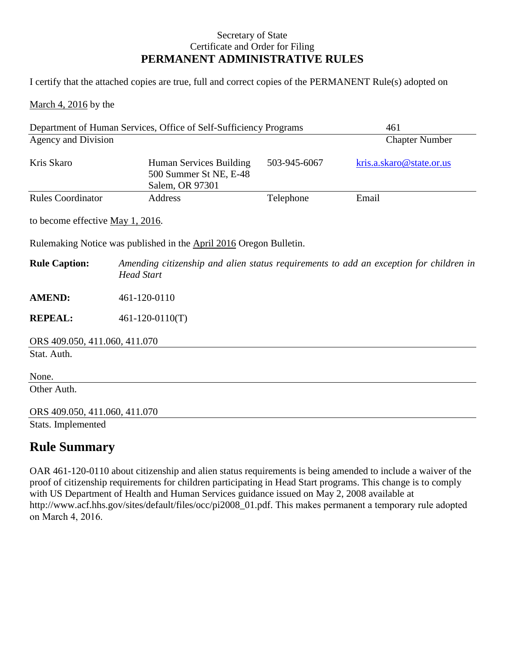## Secretary of State Certificate and Order for Filing **PERMANENT ADMINISTRATIVE RULES**

I certify that the attached copies are true, full and correct copies of the PERMANENT Rule(s) adopted on

March 4, 2016 by the

| Department of Human Services, Office of Self-Sufficiency Programs  |                                                                                                             |              | 461                      |
|--------------------------------------------------------------------|-------------------------------------------------------------------------------------------------------------|--------------|--------------------------|
| Agency and Division                                                |                                                                                                             |              | <b>Chapter Number</b>    |
| Kris Skaro                                                         | Human Services Building<br>500 Summer St NE, E-48<br>Salem, OR 97301                                        | 503-945-6067 | kris.a.skaro@state.or.us |
| <b>Rules Coordinator</b>                                           | Address                                                                                                     | Telephone    | Email                    |
| to become effective <u>May 1, 2016</u> .                           |                                                                                                             |              |                          |
| Rulemaking Notice was published in the April 2016 Oregon Bulletin. |                                                                                                             |              |                          |
| <b>Rule Caption:</b>                                               | Amending citizenship and alien status requirements to add an exception for children in<br><b>Head Start</b> |              |                          |
| <b>AMEND:</b>                                                      | 461-120-0110                                                                                                |              |                          |
| <b>REPEAL:</b>                                                     | $461 - 120 - 0110(T)$                                                                                       |              |                          |
| ORS 409.050, 411.060, 411.070                                      |                                                                                                             |              |                          |
| Stat. Auth.                                                        |                                                                                                             |              |                          |
| None.                                                              |                                                                                                             |              |                          |
| Other Auth.                                                        |                                                                                                             |              |                          |
| ORS 409.050, 411.060, 411.070                                      |                                                                                                             |              |                          |
| Stats. Implemented                                                 |                                                                                                             |              |                          |

## **Rule Summary**

OAR 461-120-0110 about citizenship and alien status requirements is being amended to include a waiver of the proof of citizenship requirements for children participating in Head Start programs. This change is to comply with US Department of Health and Human Services guidance issued on May 2, 2008 available at http://www.acf.hhs.gov/sites/default/files/occ/pi2008\_01.pdf. This makes permanent a temporary rule adopted on March 4, 2016.